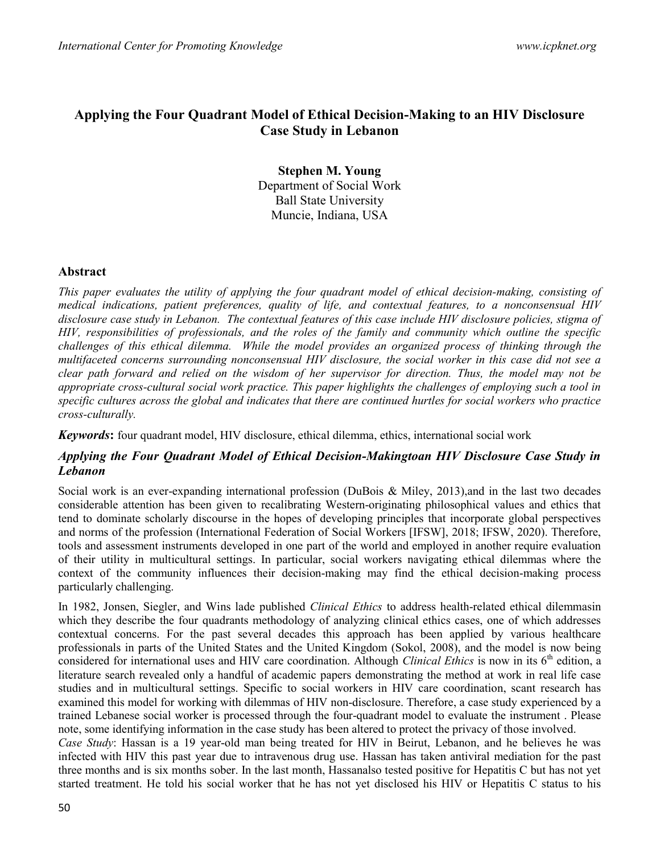# Applying the Four Quadrant Model of Ethical Decision-Making to an HIV Disclosure Case Study in Lebanon

Stephen M. Young Department of Social Work Ball State University Muncie, Indiana, USA

### Abstract

This paper evaluates the utility of applying the four quadrant model of ethical decision-making, consisting of medical indications, patient preferences, quality of life, and contextual features, to a nonconsensual HIV disclosure case study in Lebanon. The contextual features of this case include HIV disclosure policies, stigma of HIV, responsibilities of professionals, and the roles of the family and community which outline the specific challenges of this ethical dilemma. While the model provides an organized process of thinking through the multifaceted concerns surrounding nonconsensual HIV disclosure, the social worker in this case did not see a clear path forward and relied on the wisdom of her supervisor for direction. Thus, the model may not be appropriate cross-cultural social work practice. This paper highlights the challenges of employing such a tool in specific cultures across the global and indicates that there are continued hurtles for social workers who practice cross-culturally.

Keywords: four quadrant model, HIV disclosure, ethical dilemma, ethics, international social work

## Applying the Four Quadrant Model of Ethical Decision-Makingtoan HIV Disclosure Case Study in Lebanon

Social work is an ever-expanding international profession (DuBois & Miley, 2013),and in the last two decades considerable attention has been given to recalibrating Western-originating philosophical values and ethics that tend to dominate scholarly discourse in the hopes of developing principles that incorporate global perspectives and norms of the profession (International Federation of Social Workers [IFSW], 2018; IFSW, 2020). Therefore, tools and assessment instruments developed in one part of the world and employed in another require evaluation of their utility in multicultural settings. In particular, social workers navigating ethical dilemmas where the context of the community influences their decision-making may find the ethical decision-making process particularly challenging.

In 1982, Jonsen, Siegler, and Wins lade published *Clinical Ethics* to address health-related ethical dilemmasin which they describe the four quadrants methodology of analyzing clinical ethics cases, one of which addresses contextual concerns. For the past several decades this approach has been applied by various healthcare professionals in parts of the United States and the United Kingdom (Sokol, 2008), and the model is now being considered for international uses and HIV care coordination. Although Clinical Ethics is now in its 6<sup>th</sup> edition, a literature search revealed only a handful of academic papers demonstrating the method at work in real life case studies and in multicultural settings. Specific to social workers in HIV care coordination, scant research has examined this model for working with dilemmas of HIV non-disclosure. Therefore, a case study experienced by a trained Lebanese social worker is processed through the four-quadrant model to evaluate the instrument . Please note, some identifying information in the case study has been altered to protect the privacy of those involved.

Case Study: Hassan is a 19 year-old man being treated for HIV in Beirut, Lebanon, and he believes he was infected with HIV this past year due to intravenous drug use. Hassan has taken antiviral mediation for the past three months and is six months sober. In the last month, Hassanalso tested positive for Hepatitis C but has not yet started treatment. He told his social worker that he has not yet disclosed his HIV or Hepatitis C status to his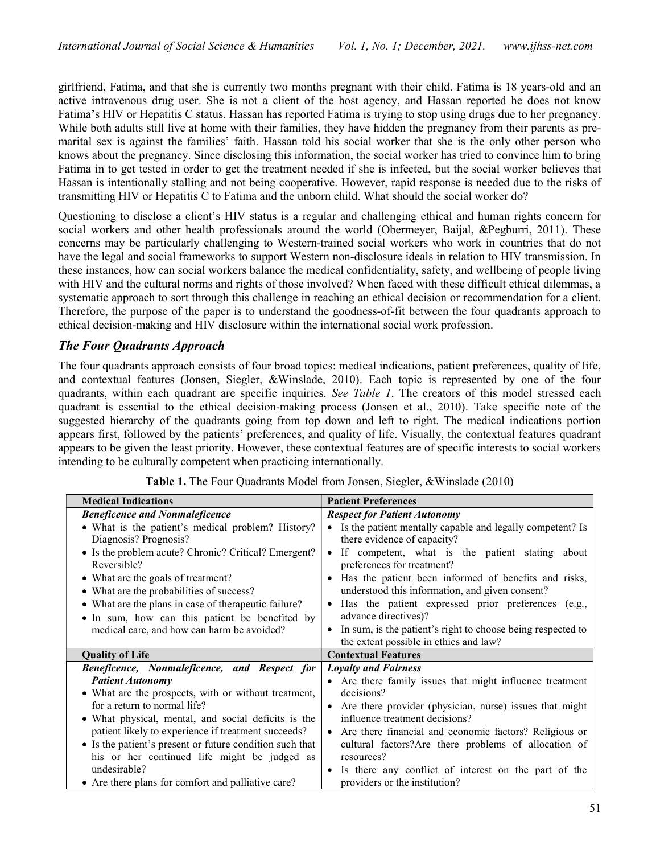girlfriend, Fatima, and that she is currently two months pregnant with their child. Fatima is 18 years-old and an active intravenous drug user. She is not a client of the host agency, and Hassan reported he does not know Fatima's HIV or Hepatitis C status. Hassan has reported Fatima is trying to stop using drugs due to her pregnancy. While both adults still live at home with their families, they have hidden the pregnancy from their parents as premarital sex is against the families' faith. Hassan told his social worker that she is the only other person who knows about the pregnancy. Since disclosing this information, the social worker has tried to convince him to bring Fatima in to get tested in order to get the treatment needed if she is infected, but the social worker believes that Hassan is intentionally stalling and not being cooperative. However, rapid response is needed due to the risks of transmitting HIV or Hepatitis C to Fatima and the unborn child. What should the social worker do?

Questioning to disclose a client's HIV status is a regular and challenging ethical and human rights concern for social workers and other health professionals around the world (Obermeyer, Baijal, &Pegburri, 2011). These concerns may be particularly challenging to Western-trained social workers who work in countries that do not have the legal and social frameworks to support Western non-disclosure ideals in relation to HIV transmission. In these instances, how can social workers balance the medical confidentiality, safety, and wellbeing of people living with HIV and the cultural norms and rights of those involved? When faced with these difficult ethical dilemmas, a systematic approach to sort through this challenge in reaching an ethical decision or recommendation for a client. Therefore, the purpose of the paper is to understand the goodness-of-fit between the four quadrants approach to ethical decision-making and HIV disclosure within the international social work profession.

## The Four Quadrants Approach

The four quadrants approach consists of four broad topics: medical indications, patient preferences, quality of life, and contextual features (Jonsen, Siegler, &Winslade, 2010). Each topic is represented by one of the four quadrants, within each quadrant are specific inquiries. See Table 1. The creators of this model stressed each quadrant is essential to the ethical decision-making process (Jonsen et al., 2010). Take specific note of the suggested hierarchy of the quadrants going from top down and left to right. The medical indications portion appears first, followed by the patients' preferences, and quality of life. Visually, the contextual features quadrant appears to be given the least priority. However, these contextual features are of specific interests to social workers intending to be culturally competent when practicing internationally.

| <b>Medical Indications</b>                                         | <b>Patient Preferences</b>                                                              |
|--------------------------------------------------------------------|-----------------------------------------------------------------------------------------|
| <b>Beneficence and Nonmaleficence</b>                              | <b>Respect for Patient Autonomy</b>                                                     |
| • What is the patient's medical problem? History?                  | Is the patient mentally capable and legally competent? Is                               |
| Diagnosis? Prognosis?                                              | there evidence of capacity?                                                             |
| • Is the problem acute? Chronic? Critical? Emergent?               | If competent, what is the patient stating about                                         |
| Reversible?                                                        | preferences for treatment?                                                              |
| • What are the goals of treatment?                                 | Has the patient been informed of benefits and risks,                                    |
| • What are the probabilities of success?                           | understood this information, and given consent?                                         |
| • What are the plans in case of therapeutic failure?               | • Has the patient expressed prior preferences (e.g.,                                    |
| • In sum, how can this patient be benefited by                     | advance directives)?                                                                    |
| medical care, and how can harm be avoided?                         | In sum, is the patient's right to choose being respected to<br>$\bullet$                |
|                                                                    | the extent possible in ethics and law?                                                  |
|                                                                    |                                                                                         |
| <b>Quality of Life</b>                                             | <b>Contextual Features</b>                                                              |
| Beneficence, Nonmaleficence, and Respect for                       | <b>Loyalty and Fairness</b>                                                             |
| <b>Patient Autonomy</b>                                            | • Are there family issues that might influence treatment                                |
| • What are the prospects, with or without treatment,               | decisions?                                                                              |
| for a return to normal life?                                       | • Are there provider (physician, nurse) issues that might                               |
| • What physical, mental, and social deficits is the                | influence treatment decisions?                                                          |
| patient likely to experience if treatment succeeds?                | • Are there financial and economic factors? Religious or                                |
| • Is the patient's present or future condition such that           | cultural factors?Are there problems of allocation of                                    |
| his or her continued life might be judged as                       | resources?                                                                              |
| undesirable?<br>• Are there plans for comfort and palliative care? | • Is there any conflict of interest on the part of the<br>providers or the institution? |

Table 1. The Four Quadrants Model from Jonsen, Siegler, &Winslade (2010)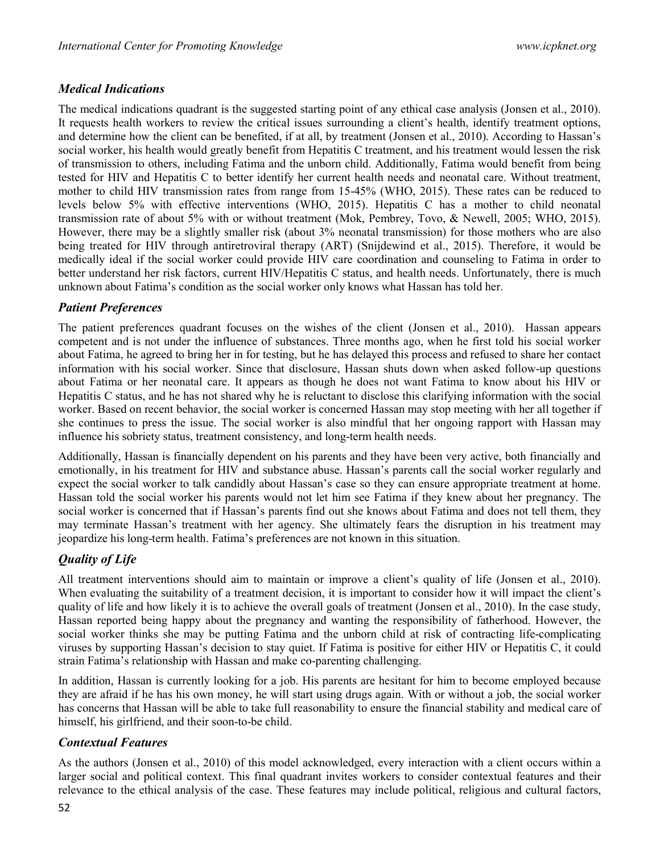## Medical Indications

The medical indications quadrant is the suggested starting point of any ethical case analysis (Jonsen et al., 2010). It requests health workers to review the critical issues surrounding a client's health, identify treatment options, and determine how the client can be benefited, if at all, by treatment (Jonsen et al., 2010). According to Hassan's social worker, his health would greatly benefit from Hepatitis C treatment, and his treatment would lessen the risk of transmission to others, including Fatima and the unborn child. Additionally, Fatima would benefit from being tested for HIV and Hepatitis C to better identify her current health needs and neonatal care. Without treatment, mother to child HIV transmission rates from range from 15-45% (WHO, 2015). These rates can be reduced to levels below 5% with effective interventions (WHO, 2015). Hepatitis C has a mother to child neonatal transmission rate of about 5% with or without treatment (Mok, Pembrey, Tovo, & Newell, 2005; WHO, 2015). However, there may be a slightly smaller risk (about 3% neonatal transmission) for those mothers who are also being treated for HIV through antiretroviral therapy (ART) (Snijdewind et al., 2015). Therefore, it would be medically ideal if the social worker could provide HIV care coordination and counseling to Fatima in order to better understand her risk factors, current HIV/Hepatitis C status, and health needs. Unfortunately, there is much unknown about Fatima's condition as the social worker only knows what Hassan has told her.

## Patient Preferences

The patient preferences quadrant focuses on the wishes of the client (Jonsen et al., 2010). Hassan appears competent and is not under the influence of substances. Three months ago, when he first told his social worker about Fatima, he agreed to bring her in for testing, but he has delayed this process and refused to share her contact information with his social worker. Since that disclosure, Hassan shuts down when asked follow-up questions about Fatima or her neonatal care. It appears as though he does not want Fatima to know about his HIV or Hepatitis C status, and he has not shared why he is reluctant to disclose this clarifying information with the social worker. Based on recent behavior, the social worker is concerned Hassan may stop meeting with her all together if she continues to press the issue. The social worker is also mindful that her ongoing rapport with Hassan may influence his sobriety status, treatment consistency, and long-term health needs.

Additionally, Hassan is financially dependent on his parents and they have been very active, both financially and emotionally, in his treatment for HIV and substance abuse. Hassan's parents call the social worker regularly and expect the social worker to talk candidly about Hassan's case so they can ensure appropriate treatment at home. Hassan told the social worker his parents would not let him see Fatima if they knew about her pregnancy. The social worker is concerned that if Hassan's parents find out she knows about Fatima and does not tell them, they may terminate Hassan's treatment with her agency. She ultimately fears the disruption in his treatment may jeopardize his long-term health. Fatima's preferences are not known in this situation.

# Quality of Life

All treatment interventions should aim to maintain or improve a client's quality of life (Jonsen et al., 2010). When evaluating the suitability of a treatment decision, it is important to consider how it will impact the client's quality of life and how likely it is to achieve the overall goals of treatment (Jonsen et al., 2010). In the case study, Hassan reported being happy about the pregnancy and wanting the responsibility of fatherhood. However, the social worker thinks she may be putting Fatima and the unborn child at risk of contracting life-complicating viruses by supporting Hassan's decision to stay quiet. If Fatima is positive for either HIV or Hepatitis C, it could strain Fatima's relationship with Hassan and make co-parenting challenging.

In addition, Hassan is currently looking for a job. His parents are hesitant for him to become employed because they are afraid if he has his own money, he will start using drugs again. With or without a job, the social worker has concerns that Hassan will be able to take full reasonability to ensure the financial stability and medical care of himself, his girlfriend, and their soon-to-be child.

## Contextual Features

As the authors (Jonsen et al., 2010) of this model acknowledged, every interaction with a client occurs within a larger social and political context. This final quadrant invites workers to consider contextual features and their relevance to the ethical analysis of the case. These features may include political, religious and cultural factors,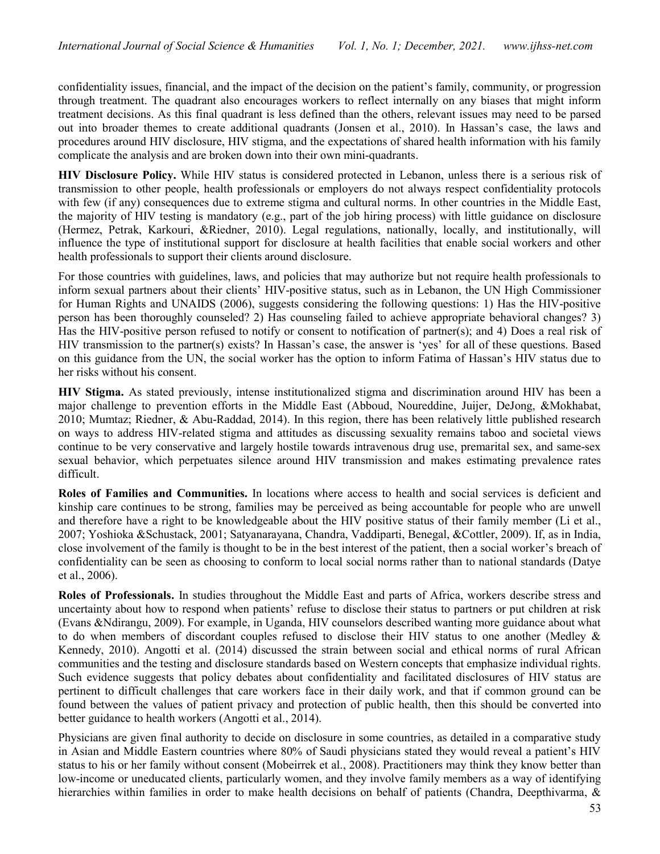confidentiality issues, financial, and the impact of the decision on the patient's family, community, or progression through treatment. The quadrant also encourages workers to reflect internally on any biases that might inform treatment decisions. As this final quadrant is less defined than the others, relevant issues may need to be parsed out into broader themes to create additional quadrants (Jonsen et al., 2010). In Hassan's case, the laws and procedures around HIV disclosure, HIV stigma, and the expectations of shared health information with his family complicate the analysis and are broken down into their own mini-quadrants.

HIV Disclosure Policy. While HIV status is considered protected in Lebanon, unless there is a serious risk of transmission to other people, health professionals or employers do not always respect confidentiality protocols with few (if any) consequences due to extreme stigma and cultural norms. In other countries in the Middle East, the majority of HIV testing is mandatory (e.g., part of the job hiring process) with little guidance on disclosure (Hermez, Petrak, Karkouri, &Riedner, 2010). Legal regulations, nationally, locally, and institutionally, will influence the type of institutional support for disclosure at health facilities that enable social workers and other health professionals to support their clients around disclosure.

For those countries with guidelines, laws, and policies that may authorize but not require health professionals to inform sexual partners about their clients' HIV-positive status, such as in Lebanon, the UN High Commissioner for Human Rights and UNAIDS (2006), suggests considering the following questions: 1) Has the HIV-positive person has been thoroughly counseled? 2) Has counseling failed to achieve appropriate behavioral changes? 3) Has the HIV-positive person refused to notify or consent to notification of partner(s); and 4) Does a real risk of HIV transmission to the partner(s) exists? In Hassan's case, the answer is 'yes' for all of these questions. Based on this guidance from the UN, the social worker has the option to inform Fatima of Hassan's HIV status due to her risks without his consent.

HIV Stigma. As stated previously, intense institutionalized stigma and discrimination around HIV has been a major challenge to prevention efforts in the Middle East (Abboud, Noureddine, Juijer, DeJong, &Mokhabat, 2010; Mumtaz; Riedner, & Abu-Raddad, 2014). In this region, there has been relatively little published research on ways to address HIV-related stigma and attitudes as discussing sexuality remains taboo and societal views continue to be very conservative and largely hostile towards intravenous drug use, premarital sex, and same-sex sexual behavior, which perpetuates silence around HIV transmission and makes estimating prevalence rates difficult.

Roles of Families and Communities. In locations where access to health and social services is deficient and kinship care continues to be strong, families may be perceived as being accountable for people who are unwell and therefore have a right to be knowledgeable about the HIV positive status of their family member (Li et al., 2007; Yoshioka &Schustack, 2001; Satyanarayana, Chandra, Vaddiparti, Benegal, &Cottler, 2009). If, as in India, close involvement of the family is thought to be in the best interest of the patient, then a social worker's breach of confidentiality can be seen as choosing to conform to local social norms rather than to national standards (Datye et al., 2006).

Roles of Professionals. In studies throughout the Middle East and parts of Africa, workers describe stress and uncertainty about how to respond when patients' refuse to disclose their status to partners or put children at risk (Evans &Ndirangu, 2009). For example, in Uganda, HIV counselors described wanting more guidance about what to do when members of discordant couples refused to disclose their HIV status to one another (Medley & Kennedy, 2010). Angotti et al. (2014) discussed the strain between social and ethical norms of rural African communities and the testing and disclosure standards based on Western concepts that emphasize individual rights. Such evidence suggests that policy debates about confidentiality and facilitated disclosures of HIV status are pertinent to difficult challenges that care workers face in their daily work, and that if common ground can be found between the values of patient privacy and protection of public health, then this should be converted into better guidance to health workers (Angotti et al., 2014).

Physicians are given final authority to decide on disclosure in some countries, as detailed in a comparative study in Asian and Middle Eastern countries where 80% of Saudi physicians stated they would reveal a patient's HIV status to his or her family without consent (Mobeirrek et al., 2008). Practitioners may think they know better than low-income or uneducated clients, particularly women, and they involve family members as a way of identifying hierarchies within families in order to make health decisions on behalf of patients (Chandra, Deepthivarma, &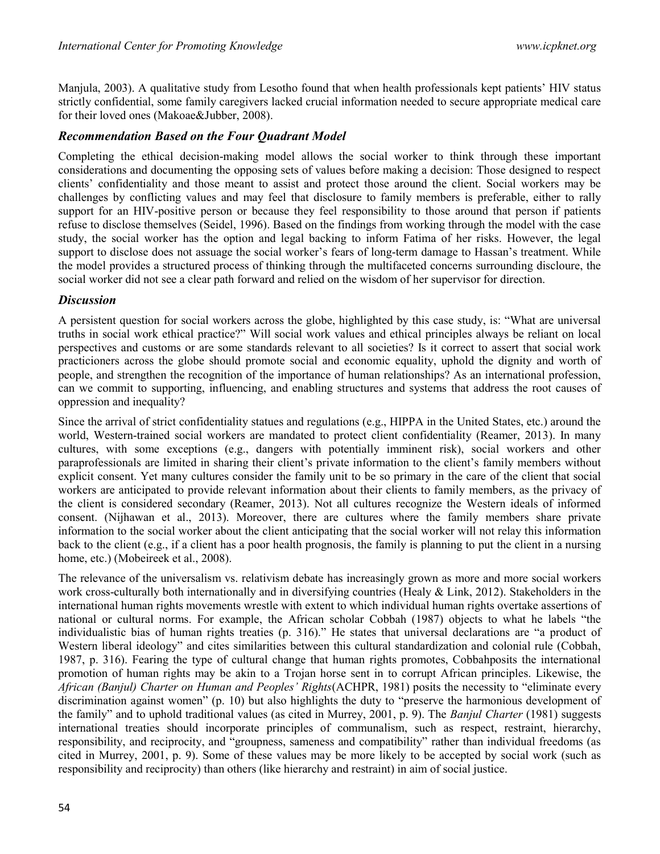Manjula, 2003). A qualitative study from Lesotho found that when health professionals kept patients' HIV status strictly confidential, some family caregivers lacked crucial information needed to secure appropriate medical care for their loved ones (Makoae&Jubber, 2008).

## Recommendation Based on the Four Quadrant Model

Completing the ethical decision-making model allows the social worker to think through these important considerations and documenting the opposing sets of values before making a decision: Those designed to respect clients' confidentiality and those meant to assist and protect those around the client. Social workers may be challenges by conflicting values and may feel that disclosure to family members is preferable, either to rally support for an HIV-positive person or because they feel responsibility to those around that person if patients refuse to disclose themselves (Seidel, 1996). Based on the findings from working through the model with the case study, the social worker has the option and legal backing to inform Fatima of her risks. However, the legal support to disclose does not assuage the social worker's fears of long-term damage to Hassan's treatment. While the model provides a structured process of thinking through the multifaceted concerns surrounding discloure, the social worker did not see a clear path forward and relied on the wisdom of her supervisor for direction.

## **Discussion**

A persistent question for social workers across the globe, highlighted by this case study, is: "What are universal truths in social work ethical practice?" Will social work values and ethical principles always be reliant on local perspectives and customs or are some standards relevant to all societies? Is it correct to assert that social work practicioners across the globe should promote social and economic equality, uphold the dignity and worth of people, and strengthen the recognition of the importance of human relationships? As an international profession, can we commit to supporting, influencing, and enabling structures and systems that address the root causes of oppression and inequality?

Since the arrival of strict confidentiality statues and regulations (e.g., HIPPA in the United States, etc.) around the world, Western-trained social workers are mandated to protect client confidentiality (Reamer, 2013). In many cultures, with some exceptions (e.g., dangers with potentially imminent risk), social workers and other paraprofessionals are limited in sharing their client's private information to the client's family members without explicit consent. Yet many cultures consider the family unit to be so primary in the care of the client that social workers are anticipated to provide relevant information about their clients to family members, as the privacy of the client is considered secondary (Reamer, 2013). Not all cultures recognize the Western ideals of informed consent. (Nijhawan et al., 2013). Moreover, there are cultures where the family members share private information to the social worker about the client anticipating that the social worker will not relay this information back to the client (e.g., if a client has a poor health prognosis, the family is planning to put the client in a nursing home, etc.) (Mobeireek et al., 2008).

The relevance of the universalism vs. relativism debate has increasingly grown as more and more social workers work cross-culturally both internationally and in diversifying countries (Healy & Link, 2012). Stakeholders in the international human rights movements wrestle with extent to which individual human rights overtake assertions of national or cultural norms. For example, the African scholar Cobbah (1987) objects to what he labels "the individualistic bias of human rights treaties (p. 316)." He states that universal declarations are "a product of Western liberal ideology" and cites similarities between this cultural standardization and colonial rule (Cobbah, 1987, p. 316). Fearing the type of cultural change that human rights promotes, Cobbahposits the international promotion of human rights may be akin to a Trojan horse sent in to corrupt African principles. Likewise, the African (Banjul) Charter on Human and Peoples' Rights(ACHPR, 1981) posits the necessity to "eliminate every discrimination against women" (p. 10) but also highlights the duty to "preserve the harmonious development of the family" and to uphold traditional values (as cited in Murrey, 2001, p. 9). The Banjul Charter (1981) suggests international treaties should incorporate principles of communalism, such as respect, restraint, hierarchy, responsibility, and reciprocity, and "groupness, sameness and compatibility" rather than individual freedoms (as cited in Murrey, 2001, p. 9). Some of these values may be more likely to be accepted by social work (such as responsibility and reciprocity) than others (like hierarchy and restraint) in aim of social justice.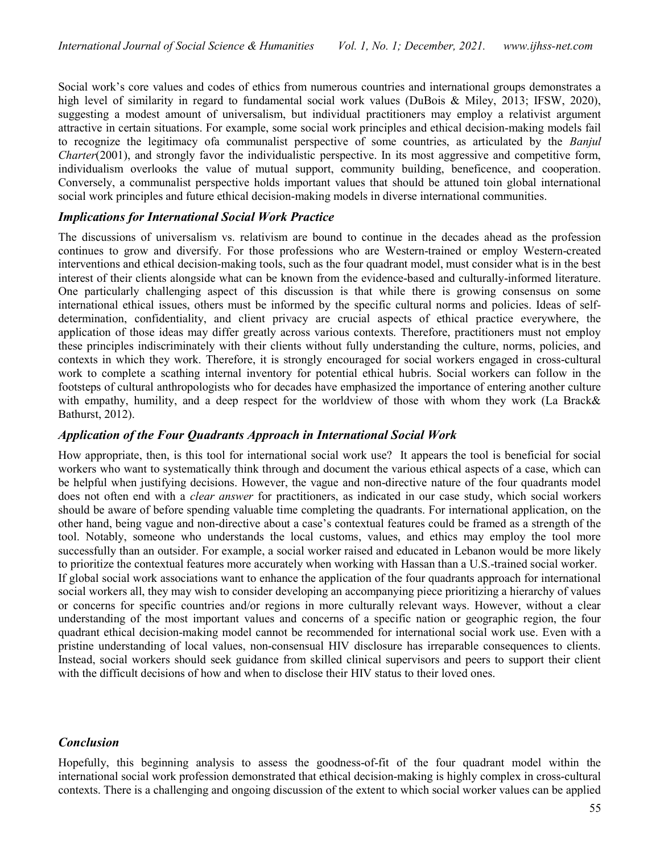Social work's core values and codes of ethics from numerous countries and international groups demonstrates a high level of similarity in regard to fundamental social work values (DuBois & Miley, 2013; IFSW, 2020), suggesting a modest amount of universalism, but individual practitioners may employ a relativist argument attractive in certain situations. For example, some social work principles and ethical decision-making models fail to recognize the legitimacy ofa communalist perspective of some countries, as articulated by the Banjul Charter(2001), and strongly favor the individualistic perspective. In its most aggressive and competitive form, individualism overlooks the value of mutual support, community building, beneficence, and cooperation. Conversely, a communalist perspective holds important values that should be attuned toin global international social work principles and future ethical decision-making models in diverse international communities.

### Implications for International Social Work Practice

The discussions of universalism vs. relativism are bound to continue in the decades ahead as the profession continues to grow and diversify. For those professions who are Western-trained or employ Western-created interventions and ethical decision-making tools, such as the four quadrant model, must consider what is in the best interest of their clients alongside what can be known from the evidence-based and culturally-informed literature. One particularly challenging aspect of this discussion is that while there is growing consensus on some international ethical issues, others must be informed by the specific cultural norms and policies. Ideas of selfdetermination, confidentiality, and client privacy are crucial aspects of ethical practice everywhere, the application of those ideas may differ greatly across various contexts. Therefore, practitioners must not employ these principles indiscriminately with their clients without fully understanding the culture, norms, policies, and contexts in which they work. Therefore, it is strongly encouraged for social workers engaged in cross-cultural work to complete a scathing internal inventory for potential ethical hubris. Social workers can follow in the footsteps of cultural anthropologists who for decades have emphasized the importance of entering another culture with empathy, humility, and a deep respect for the worldview of those with whom they work (La Brack & Bathurst, 2012).

#### Application of the Four Quadrants Approach in International Social Work

How appropriate, then, is this tool for international social work use? It appears the tool is beneficial for social workers who want to systematically think through and document the various ethical aspects of a case, which can be helpful when justifying decisions. However, the vague and non-directive nature of the four quadrants model does not often end with a clear answer for practitioners, as indicated in our case study, which social workers should be aware of before spending valuable time completing the quadrants. For international application, on the other hand, being vague and non-directive about a case's contextual features could be framed as a strength of the tool. Notably, someone who understands the local customs, values, and ethics may employ the tool more successfully than an outsider. For example, a social worker raised and educated in Lebanon would be more likely to prioritize the contextual features more accurately when working with Hassan than a U.S.-trained social worker. If global social work associations want to enhance the application of the four quadrants approach for international social workers all, they may wish to consider developing an accompanying piece prioritizing a hierarchy of values or concerns for specific countries and/or regions in more culturally relevant ways. However, without a clear understanding of the most important values and concerns of a specific nation or geographic region, the four quadrant ethical decision-making model cannot be recommended for international social work use. Even with a pristine understanding of local values, non-consensual HIV disclosure has irreparable consequences to clients. Instead, social workers should seek guidance from skilled clinical supervisors and peers to support their client with the difficult decisions of how and when to disclose their HIV status to their loved ones.

### Conclusion

Hopefully, this beginning analysis to assess the goodness-of-fit of the four quadrant model within the international social work profession demonstrated that ethical decision-making is highly complex in cross-cultural contexts. There is a challenging and ongoing discussion of the extent to which social worker values can be applied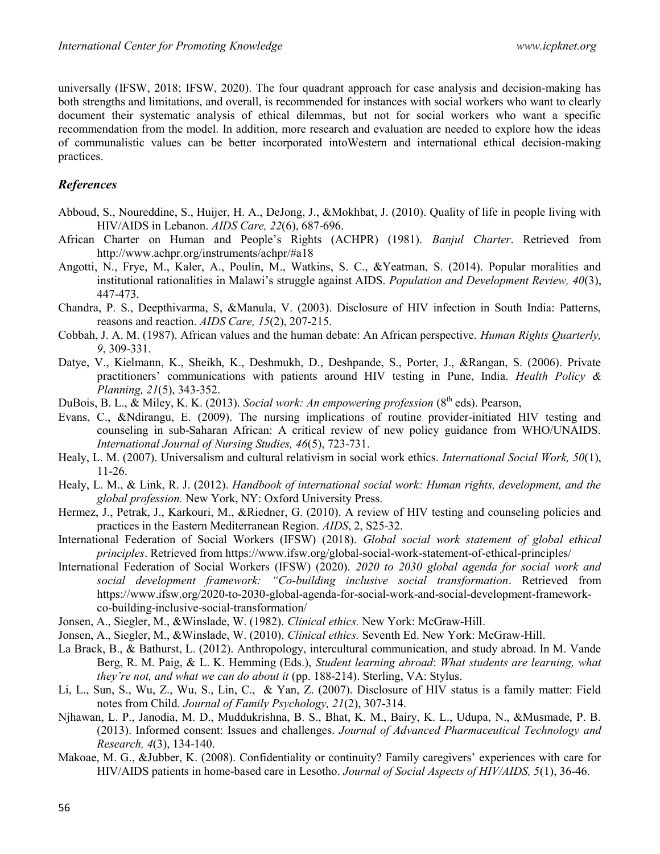universally (IFSW, 2018; IFSW, 2020). The four quadrant approach for case analysis and decision-making has both strengths and limitations, and overall, is recommended for instances with social workers who want to clearly document their systematic analysis of ethical dilemmas, but not for social workers who want a specific recommendation from the model. In addition, more research and evaluation are needed to explore how the ideas of communalistic values can be better incorporated intoWestern and international ethical decision-making practices.

### References

- Abboud, S., Noureddine, S., Huijer, H. A., DeJong, J., &Mokhbat, J. (2010). Quality of life in people living with HIV/AIDS in Lebanon. AIDS Care, 22(6), 687-696.
- African Charter on Human and People's Rights (ACHPR) (1981). Banjul Charter. Retrieved from http://www.achpr.org/instruments/achpr/#a18
- Angotti, N., Frye, M., Kaler, A., Poulin, M., Watkins, S. C., &Yeatman, S. (2014). Popular moralities and institutional rationalities in Malawi's struggle against AIDS. Population and Development Review, 40(3), 447-473.
- Chandra, P. S., Deepthivarma, S, &Manula, V. (2003). Disclosure of HIV infection in South India: Patterns, reasons and reaction. AIDS Care, 15(2), 207-215.
- Cobbah, J. A. M. (1987). African values and the human debate: An African perspective. Human Rights Quarterly, 9, 309-331.
- Datye, V., Kielmann, K., Sheikh, K., Deshmukh, D., Deshpande, S., Porter, J., &Rangan, S. (2006). Private practitioners' communications with patients around HIV testing in Pune, India. Health Policy  $\&$ Planning, 21(5), 343-352.
- DuBois, B. L.,  $\&$  Miley, K. K. (2013). Social work: An empowering profession ( $8<sup>th</sup>$  eds). Pearson,
- Evans, C., &Ndirangu, E. (2009). The nursing implications of routine provider-initiated HIV testing and counseling in sub-Saharan African: A critical review of new policy guidance from WHO/UNAIDS. International Journal of Nursing Studies, 46(5), 723-731.
- Healy, L. M. (2007). Universalism and cultural relativism in social work ethics. International Social Work, 50(1), 11-26.
- Healy, L. M., & Link, R. J. (2012). Handbook of international social work: Human rights, development, and the global profession. New York, NY: Oxford University Press.
- Hermez, J., Petrak, J., Karkouri, M., &Riedner, G. (2010). A review of HIV testing and counseling policies and practices in the Eastern Mediterranean Region. AIDS, 2, S25-32.
- International Federation of Social Workers (IFSW) (2018). Global social work statement of global ethical principles. Retrieved from https://www.ifsw.org/global-social-work-statement-of-ethical-principles/
- International Federation of Social Workers (IFSW) (2020). 2020 to 2030 global agenda for social work and social development framework: "Co-building inclusive social transformation. Retrieved from https://www.ifsw.org/2020-to-2030-global-agenda-for-social-work-and-social-development-frameworkco-building-inclusive-social-transformation/
- Jonsen, A., Siegler, M., &Winslade, W. (1982). Clinical ethics. New York: McGraw-Hill.
- Jonsen, A., Siegler, M., &Winslade, W. (2010). Clinical ethics. Seventh Ed. New York: McGraw-Hill.
- La Brack, B., & Bathurst, L. (2012). Anthropology, intercultural communication, and study abroad. In M. Vande Berg, R. M. Paig, & L. K. Hemming (Eds.), Student learning abroad: What students are learning, what they're not, and what we can do about it (pp. 188-214). Sterling, VA: Stylus.
- Li, L., Sun, S., Wu, Z., Wu, S., Lin, C., & Yan, Z. (2007). Disclosure of HIV status is a family matter: Field notes from Child. Journal of Family Psychology, 21(2), 307-314.
- Njhawan, L. P., Janodia, M. D., Muddukrishna, B. S., Bhat, K. M., Bairy, K. L., Udupa, N., &Musmade, P. B. (2013). Informed consent: Issues and challenges. Journal of Advanced Pharmaceutical Technology and Research, 4(3), 134-140.
- Makoae, M. G., &Jubber, K. (2008). Confidentiality or continuity? Family caregivers' experiences with care for HIV/AIDS patients in home-based care in Lesotho. Journal of Social Aspects of HIV/AIDS, 5(1), 36-46.